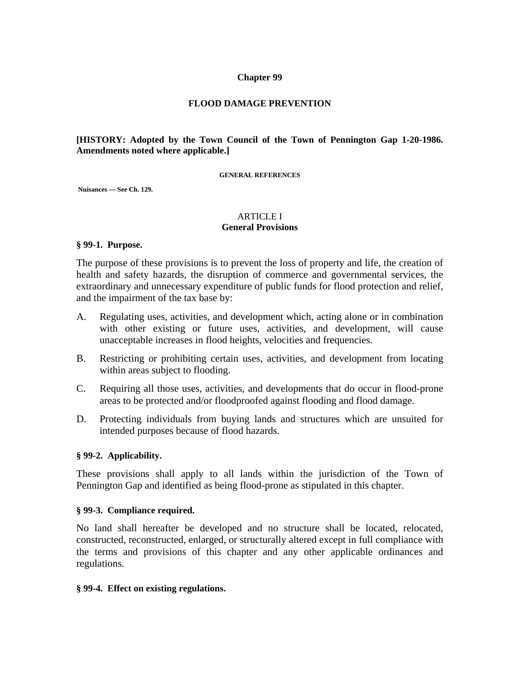### **Chapter 99**

### **FLOOD DAMAGE PREVENTION**

### **[HISTORY: Adopted by the Town Council of the Town of Pennington Gap 1-20-1986. Amendments noted where applicable.]**

#### **GENERAL REFERENCES**

 **Nuisances — See Ch. 129.** 

#### ARTICLE I **General Provisions**

#### **§ 99-1. Purpose.**

The purpose of these provisions is to prevent the loss of property and life, the creation of health and safety hazards, the disruption of commerce and governmental services, the extraordinary and unnecessary expenditure of public funds for flood protection and relief, and the impairment of the tax base by:

- A. Regulating uses, activities, and development which, acting alone or in combination with other existing or future uses, activities, and development, will cause unacceptable increases in flood heights, velocities and frequencies.
- B. Restricting or prohibiting certain uses, activities, and development from locating within areas subject to flooding.
- C. Requiring all those uses, activities, and developments that do occur in flood-prone areas to be protected and/or floodproofed against flooding and flood damage.
- D. Protecting individuals from buying lands and structures which are unsuited for intended purposes because of flood hazards.

### **§ 99-2. Applicability.**

These provisions shall apply to all lands within the jurisdiction of the Town of Pennington Gap and identified as being flood-prone as stipulated in this chapter.

#### **§ 99-3. Compliance required.**

No land shall hereafter be developed and no structure shall be located, relocated, constructed, reconstructed, enlarged, or structurally altered except in full compliance with the terms and provisions of this chapter and any other applicable ordinances and regulations.

### **§ 99-4. Effect on existing regulations.**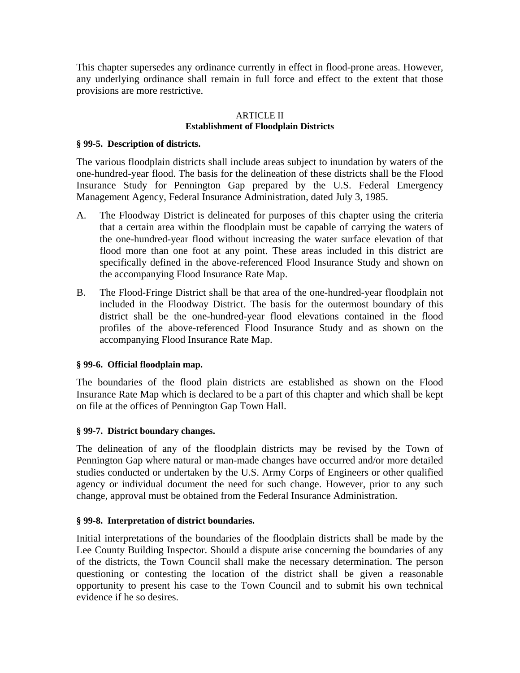This chapter supersedes any ordinance currently in effect in flood-prone areas. However, any underlying ordinance shall remain in full force and effect to the extent that those provisions are more restrictive.

### ARTICLE II **Establishment of Floodplain Districts**

### **§ 99-5. Description of districts.**

The various floodplain districts shall include areas subject to inundation by waters of the one-hundred-year flood. The basis for the delineation of these districts shall be the Flood Insurance Study for Pennington Gap prepared by the U.S. Federal Emergency Management Agency, Federal Insurance Administration, dated July 3, 1985.

- A. The Floodway District is delineated for purposes of this chapter using the criteria that a certain area within the floodplain must be capable of carrying the waters of the one-hundred-year flood without increasing the water surface elevation of that flood more than one foot at any point. These areas included in this district are specifically defined in the above-referenced Flood Insurance Study and shown on the accompanying Flood Insurance Rate Map.
- B. The Flood-Fringe District shall be that area of the one-hundred-year floodplain not included in the Floodway District. The basis for the outermost boundary of this district shall be the one-hundred-year flood elevations contained in the flood profiles of the above-referenced Flood Insurance Study and as shown on the accompanying Flood Insurance Rate Map.

# **§ 99-6. Official floodplain map.**

The boundaries of the flood plain districts are established as shown on the Flood Insurance Rate Map which is declared to be a part of this chapter and which shall be kept on file at the offices of Pennington Gap Town Hall.

# **§ 99-7. District boundary changes.**

The delineation of any of the floodplain districts may be revised by the Town of Pennington Gap where natural or man-made changes have occurred and/or more detailed studies conducted or undertaken by the U.S. Army Corps of Engineers or other qualified agency or individual document the need for such change. However, prior to any such change, approval must be obtained from the Federal Insurance Administration.

# **§ 99-8. Interpretation of district boundaries.**

Initial interpretations of the boundaries of the floodplain districts shall be made by the Lee County Building Inspector. Should a dispute arise concerning the boundaries of any of the districts, the Town Council shall make the necessary determination. The person questioning or contesting the location of the district shall be given a reasonable opportunity to present his case to the Town Council and to submit his own technical evidence if he so desires.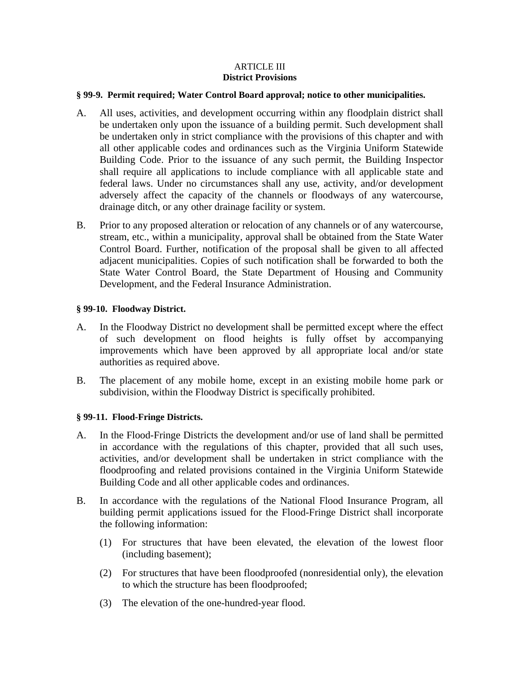### ARTICLE III **District Provisions**

### **§ 99-9. Permit required; Water Control Board approval; notice to other municipalities.**

- A. All uses, activities, and development occurring within any floodplain district shall be undertaken only upon the issuance of a building permit. Such development shall be undertaken only in strict compliance with the provisions of this chapter and with all other applicable codes and ordinances such as the Virginia Uniform Statewide Building Code. Prior to the issuance of any such permit, the Building Inspector shall require all applications to include compliance with all applicable state and federal laws. Under no circumstances shall any use, activity, and/or development adversely affect the capacity of the channels or floodways of any watercourse, drainage ditch, or any other drainage facility or system.
- B. Prior to any proposed alteration or relocation of any channels or of any watercourse, stream, etc., within a municipality, approval shall be obtained from the State Water Control Board. Further, notification of the proposal shall be given to all affected adjacent municipalities. Copies of such notification shall be forwarded to both the State Water Control Board, the State Department of Housing and Community Development, and the Federal Insurance Administration.

# **§ 99-10. Floodway District.**

- A. In the Floodway District no development shall be permitted except where the effect of such development on flood heights is fully offset by accompanying improvements which have been approved by all appropriate local and/or state authorities as required above.
- B. The placement of any mobile home, except in an existing mobile home park or subdivision, within the Floodway District is specifically prohibited.

# **§ 99-11. Flood-Fringe Districts.**

- A. In the Flood-Fringe Districts the development and/or use of land shall be permitted in accordance with the regulations of this chapter, provided that all such uses, activities, and/or development shall be undertaken in strict compliance with the floodproofing and related provisions contained in the Virginia Uniform Statewide Building Code and all other applicable codes and ordinances.
- B. In accordance with the regulations of the National Flood Insurance Program, all building permit applications issued for the Flood-Fringe District shall incorporate the following information:
	- (1) For structures that have been elevated, the elevation of the lowest floor (including basement);
	- (2) For structures that have been floodproofed (nonresidential only), the elevation to which the structure has been floodproofed;
	- (3) The elevation of the one-hundred-year flood.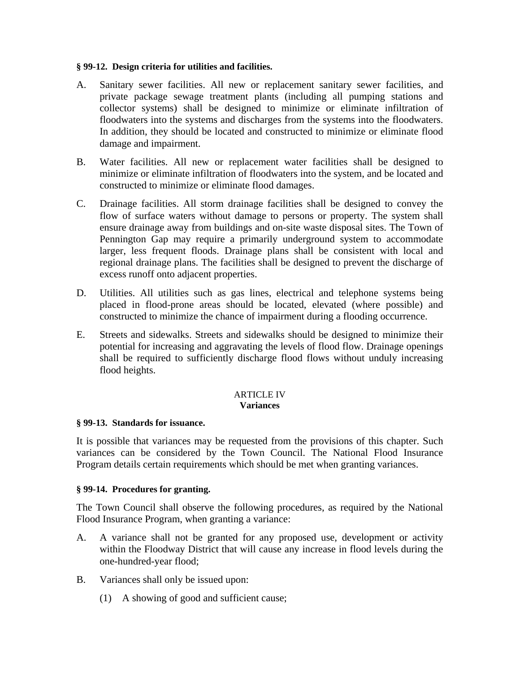### **§ 99-12. Design criteria for utilities and facilities.**

- A. Sanitary sewer facilities. All new or replacement sanitary sewer facilities, and private package sewage treatment plants (including all pumping stations and collector systems) shall be designed to minimize or eliminate infiltration of floodwaters into the systems and discharges from the systems into the floodwaters. In addition, they should be located and constructed to minimize or eliminate flood damage and impairment.
- B. Water facilities. All new or replacement water facilities shall be designed to minimize or eliminate infiltration of floodwaters into the system, and be located and constructed to minimize or eliminate flood damages.
- C. Drainage facilities. All storm drainage facilities shall be designed to convey the flow of surface waters without damage to persons or property. The system shall ensure drainage away from buildings and on-site waste disposal sites. The Town of Pennington Gap may require a primarily underground system to accommodate larger, less frequent floods. Drainage plans shall be consistent with local and regional drainage plans. The facilities shall be designed to prevent the discharge of excess runoff onto adjacent properties.
- D. Utilities. All utilities such as gas lines, electrical and telephone systems being placed in flood-prone areas should be located, elevated (where possible) and constructed to minimize the chance of impairment during a flooding occurrence.
- E. Streets and sidewalks. Streets and sidewalks should be designed to minimize their potential for increasing and aggravating the levels of flood flow. Drainage openings shall be required to sufficiently discharge flood flows without unduly increasing flood heights.

### ARTICLE IV **Variances**

# **§ 99-13. Standards for issuance.**

It is possible that variances may be requested from the provisions of this chapter. Such variances can be considered by the Town Council. The National Flood Insurance Program details certain requirements which should be met when granting variances.

# **§ 99-14. Procedures for granting.**

The Town Council shall observe the following procedures, as required by the National Flood Insurance Program, when granting a variance:

- A. A variance shall not be granted for any proposed use, development or activity within the Floodway District that will cause any increase in flood levels during the one-hundred-year flood;
- B. Variances shall only be issued upon:
	- (1) A showing of good and sufficient cause;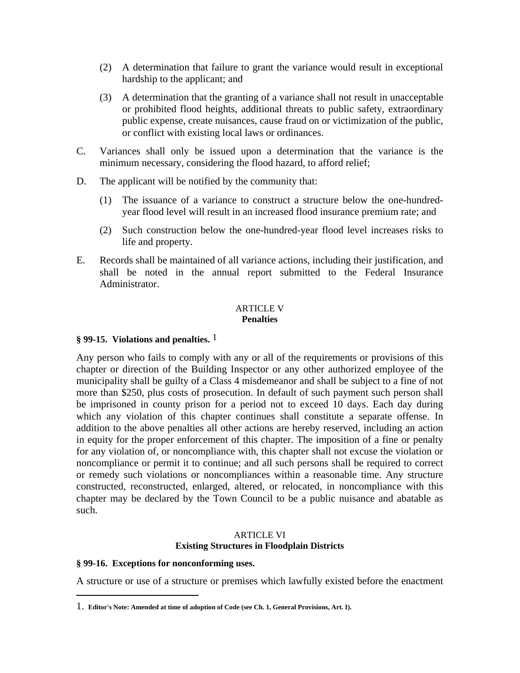- (2) A determination that failure to grant the variance would result in exceptional hardship to the applicant; and
- (3) A determination that the granting of a variance shall not result in unacceptable or prohibited flood heights, additional threats to public safety, extraordinary public expense, create nuisances, cause fraud on or victimization of the public, or conflict with existing local laws or ordinances.
- C. Variances shall only be issued upon a determination that the variance is the minimum necessary, considering the flood hazard, to afford relief;
- D. The applicant will be notified by the community that:
	- (1) The issuance of a variance to construct a structure below the one-hundredyear flood level will result in an increased flood insurance premium rate; and
	- (2) Such construction below the one-hundred-year flood level increases risks to life and property.
- E. Records shall be maintained of all variance actions, including their justification, and shall be noted in the annual report submitted to the Federal Insurance Administrator.

#### ARTICLE V **Penalties**

# **§ 99-15. Violations and penalties.** 1

Any person who fails to comply with any or all of the requirements or provisions of this chapter or direction of the Building Inspector or any other authorized employee of the municipality shall be guilty of a Class 4 misdemeanor and shall be subject to a fine of not more than \$250, plus costs of prosecution. In default of such payment such person shall be imprisoned in county prison for a period not to exceed 10 days. Each day during which any violation of this chapter continues shall constitute a separate offense. In addition to the above penalties all other actions are hereby reserved, including an action in equity for the proper enforcement of this chapter. The imposition of a fine or penalty for any violation of, or noncompliance with, this chapter shall not excuse the violation or noncompliance or permit it to continue; and all such persons shall be required to correct or remedy such violations or noncompliances within a reasonable time. Any structure constructed, reconstructed, enlarged, altered, or relocated, in noncompliance with this chapter may be declared by the Town Council to be a public nuisance and abatable as such.

### ARTICLE VI **Existing Structures in Floodplain Districts**

# **§ 99-16. Exceptions for nonconforming uses.**

 $\overline{a}$ 

A structure or use of a structure or premises which lawfully existed before the enactment

<sup>1.</sup> **Editor's Note: Amended at time of adoption of Code (see Ch. 1, General Provisions, Art. I).**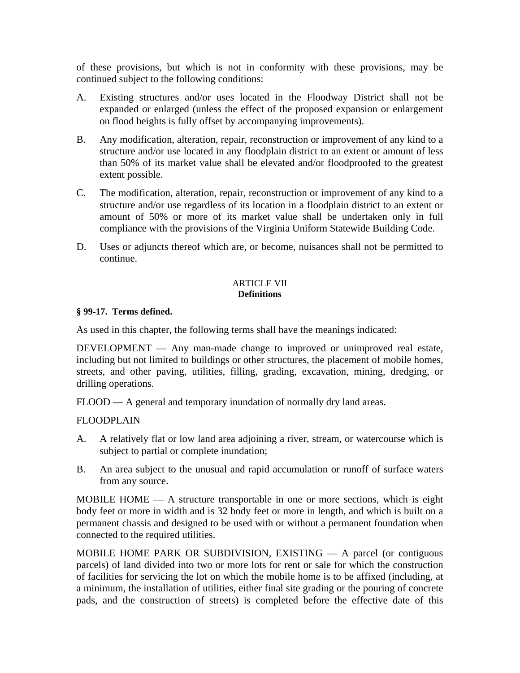of these provisions, but which is not in conformity with these provisions, may be continued subject to the following conditions:

- A. Existing structures and/or uses located in the Floodway District shall not be expanded or enlarged (unless the effect of the proposed expansion or enlargement on flood heights is fully offset by accompanying improvements).
- B. Any modification, alteration, repair, reconstruction or improvement of any kind to a structure and/or use located in any floodplain district to an extent or amount of less than 50% of its market value shall be elevated and/or floodproofed to the greatest extent possible.
- C. The modification, alteration, repair, reconstruction or improvement of any kind to a structure and/or use regardless of its location in a floodplain district to an extent or amount of 50% or more of its market value shall be undertaken only in full compliance with the provisions of the Virginia Uniform Statewide Building Code.
- D. Uses or adjuncts thereof which are, or become, nuisances shall not be permitted to continue.

### ARTICLE VII **Definitions**

### **§ 99-17. Terms defined.**

As used in this chapter, the following terms shall have the meanings indicated:

DEVELOPMENT — Any man-made change to improved or unimproved real estate, including but not limited to buildings or other structures, the placement of mobile homes, streets, and other paving, utilities, filling, grading, excavation, mining, dredging, or drilling operations.

FLOOD — A general and temporary inundation of normally dry land areas.

# FLOODPLAIN

- A. A relatively flat or low land area adjoining a river, stream, or watercourse which is subject to partial or complete inundation;
- B. An area subject to the unusual and rapid accumulation or runoff of surface waters from any source.

MOBILE HOME — A structure transportable in one or more sections, which is eight body feet or more in width and is 32 body feet or more in length, and which is built on a permanent chassis and designed to be used with or without a permanent foundation when connected to the required utilities.

MOBILE HOME PARK OR SUBDIVISION, EXISTING — A parcel (or contiguous parcels) of land divided into two or more lots for rent or sale for which the construction of facilities for servicing the lot on which the mobile home is to be affixed (including, at a minimum, the installation of utilities, either final site grading or the pouring of concrete pads, and the construction of streets) is completed before the effective date of this